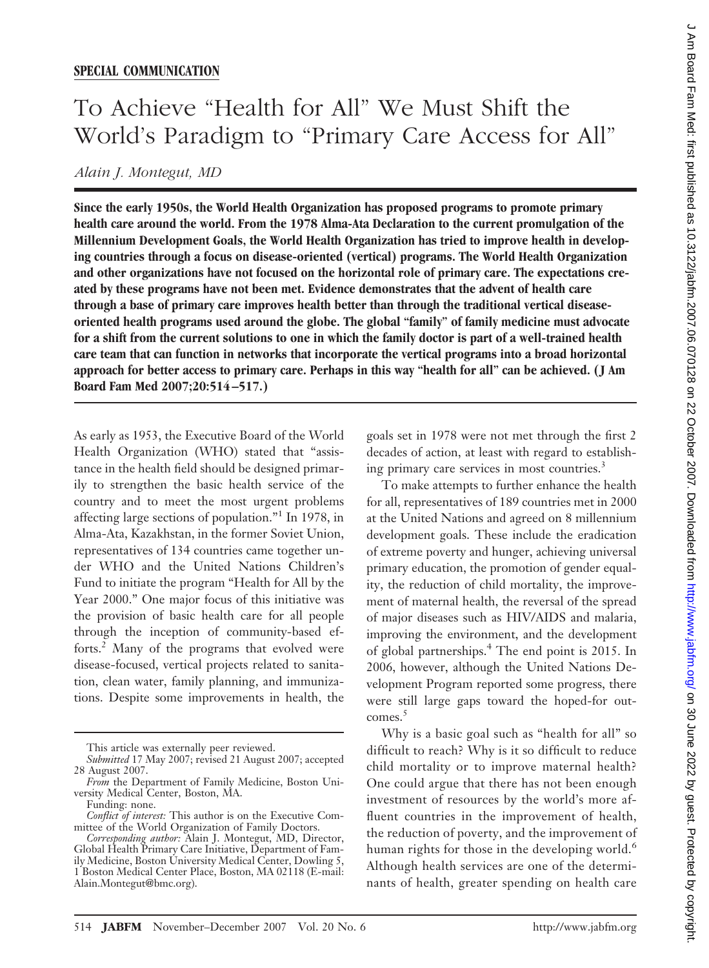## To Achieve "Health for All" We Must Shift the World's Paradigm to "Primary Care Access for All"

*Alain J. Montegut, MD*

**Since the early 1950s, the World Health Organization has proposed programs to promote primary health care around the world. From the 1978 Alma-Ata Declaration to the current promulgation of the Millennium Development Goals, the World Health Organization has tried to improve health in developing countries through a focus on disease-oriented (vertical) programs. The World Health Organization and other organizations have not focused on the horizontal role of primary care. The expectations created by these programs have not been met. Evidence demonstrates that the advent of health care through a base of primary care improves health better than through the traditional vertical diseaseoriented health programs used around the globe. The global "family" of family medicine must advocate for a shift from the current solutions to one in which the family doctor is part of a well-trained health care team that can function in networks that incorporate the vertical programs into a broad horizontal approach for better access to primary care. Perhaps in this way "health for all" can be achieved. ( J Am Board Fam Med 2007;20:514 –517.)**

As early as 1953, the Executive Board of the World Health Organization (WHO) stated that "assistance in the health field should be designed primarily to strengthen the basic health service of the country and to meet the most urgent problems affecting large sections of population."1 In 1978, in Alma-Ata, Kazakhstan, in the former Soviet Union, representatives of 134 countries came together under WHO and the United Nations Children's Fund to initiate the program "Health for All by the Year 2000." One major focus of this initiative was the provision of basic health care for all people through the inception of community-based efforts.2 Many of the programs that evolved were disease-focused, vertical projects related to sanitation, clean water, family planning, and immunizations. Despite some improvements in health, the

goals set in 1978 were not met through the first 2 decades of action, at least with regard to establishing primary care services in most countries.<sup>3</sup>

To make attempts to further enhance the health for all, representatives of 189 countries met in 2000 at the United Nations and agreed on 8 millennium development goals. These include the eradication of extreme poverty and hunger, achieving universal primary education, the promotion of gender equality, the reduction of child mortality, the improvement of maternal health, the reversal of the spread of major diseases such as HIV/AIDS and malaria, improving the environment, and the development of global partnerships.4 The end point is 2015. In 2006, however, although the United Nations Development Program reported some progress, there were still large gaps toward the hoped-for outcomes.<sup>5</sup>

Why is a basic goal such as "health for all" so difficult to reach? Why is it so difficult to reduce child mortality or to improve maternal health? One could argue that there has not been enough investment of resources by the world's more affluent countries in the improvement of health, the reduction of poverty, and the improvement of human rights for those in the developing world.<sup>6</sup> Although health services are one of the determinants of health, greater spending on health care

This article was externally peer reviewed.

*Submitted* 17 May 2007; revised 21 August 2007; accepted 28 August 2007.

*From* the Department of Family Medicine, Boston University Medical Center, Boston, MA.

Funding: none.

*Conflict of interest:* This author is on the Executive Committee of the World Organization of Family Doctors.

*Corresponding author:* Alain J. Montegut, MD, Director, Global Health Primary Care Initiative, Department of Family Medicine, Boston University Medical Center, Dowling 5, 1 Boston Medical Center Place, Boston, MA 02118 (E-mail: Alain.Montegut@bmc.org).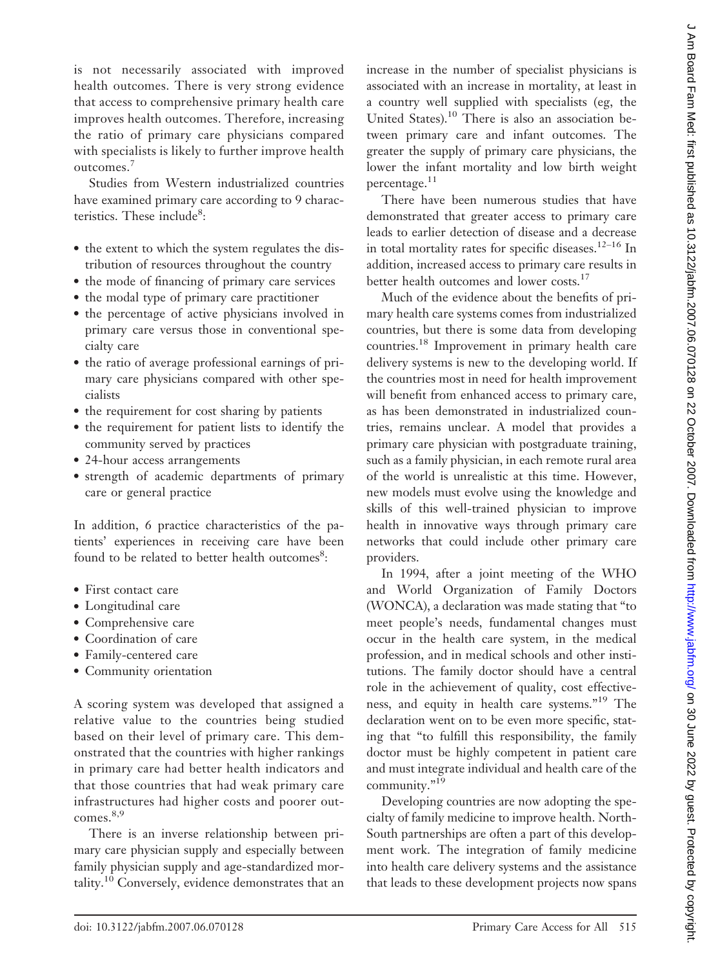is not necessarily associated with improved health outcomes. There is very strong evidence that access to comprehensive primary health care improves health outcomes. Therefore, increasing the ratio of primary care physicians compared with specialists is likely to further improve health outcomes.<sup>7</sup>

Studies from Western industrialized countries have examined primary care according to 9 characteristics. These include<sup>8</sup>:

- the extent to which the system regulates the distribution of resources throughout the country
- the mode of financing of primary care services
- the modal type of primary care practitioner
- the percentage of active physicians involved in primary care versus those in conventional specialty care
- the ratio of average professional earnings of primary care physicians compared with other specialists
- the requirement for cost sharing by patients
- the requirement for patient lists to identify the community served by practices
- 24-hour access arrangements
- strength of academic departments of primary care or general practice

In addition, 6 practice characteristics of the patients' experiences in receiving care have been found to be related to better health outcomes<sup>8</sup>:

- First contact care
- Longitudinal care
- Comprehensive care
- Coordination of care
- Family-centered care
- Community orientation

A scoring system was developed that assigned a relative value to the countries being studied based on their level of primary care. This demonstrated that the countries with higher rankings in primary care had better health indicators and that those countries that had weak primary care infrastructures had higher costs and poorer outcomes.<sup>8,9</sup>

There is an inverse relationship between primary care physician supply and especially between family physician supply and age-standardized mortality.10 Conversely, evidence demonstrates that an increase in the number of specialist physicians is associated with an increase in mortality, at least in a country well supplied with specialists (eg, the United States).<sup>10</sup> There is also an association between primary care and infant outcomes. The greater the supply of primary care physicians, the lower the infant mortality and low birth weight percentage.<sup>11</sup>

There have been numerous studies that have demonstrated that greater access to primary care leads to earlier detection of disease and a decrease in total mortality rates for specific diseases.<sup>12-16</sup> In addition, increased access to primary care results in better health outcomes and lower costs.<sup>17</sup>

Much of the evidence about the benefits of primary health care systems comes from industrialized countries, but there is some data from developing countries.18 Improvement in primary health care delivery systems is new to the developing world. If the countries most in need for health improvement will benefit from enhanced access to primary care, as has been demonstrated in industrialized countries, remains unclear. A model that provides a primary care physician with postgraduate training, such as a family physician, in each remote rural area of the world is unrealistic at this time. However, new models must evolve using the knowledge and skills of this well-trained physician to improve health in innovative ways through primary care networks that could include other primary care providers.

In 1994, after a joint meeting of the WHO and World Organization of Family Doctors (WONCA), a declaration was made stating that "to meet people's needs, fundamental changes must occur in the health care system, in the medical profession, and in medical schools and other institutions. The family doctor should have a central role in the achievement of quality, cost effectiveness, and equity in health care systems."19 The declaration went on to be even more specific, stating that "to fulfill this responsibility, the family doctor must be highly competent in patient care and must integrate individual and health care of the community."19

Developing countries are now adopting the specialty of family medicine to improve health. North-South partnerships are often a part of this development work. The integration of family medicine into health care delivery systems and the assistance that leads to these development projects now spans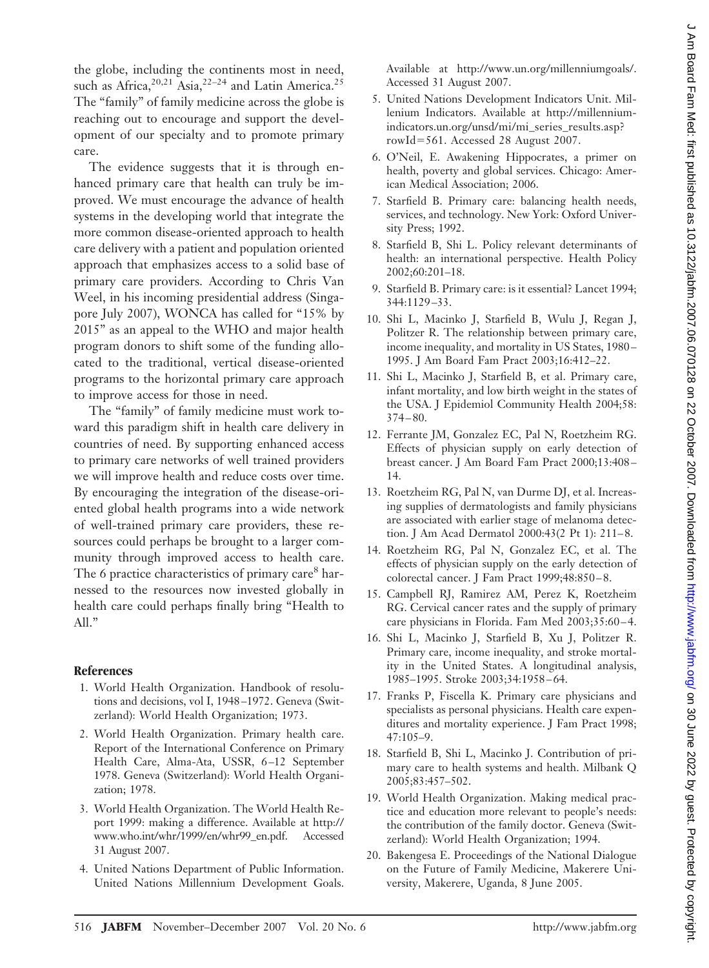the globe, including the continents most in need, such as Africa,  $2^{0,21}$  Asia,  $2^{2-24}$  and Latin America.<sup>25</sup> The "family" of family medicine across the globe is reaching out to encourage and support the development of our specialty and to promote primary care.

The evidence suggests that it is through enhanced primary care that health can truly be improved. We must encourage the advance of health systems in the developing world that integrate the more common disease-oriented approach to health care delivery with a patient and population oriented approach that emphasizes access to a solid base of primary care providers. According to Chris Van Weel, in his incoming presidential address (Singapore July 2007), WONCA has called for "15% by 2015" as an appeal to the WHO and major health program donors to shift some of the funding allocated to the traditional, vertical disease-oriented programs to the horizontal primary care approach to improve access for those in need.

The "family" of family medicine must work toward this paradigm shift in health care delivery in countries of need. By supporting enhanced access to primary care networks of well trained providers we will improve health and reduce costs over time. By encouraging the integration of the disease-oriented global health programs into a wide network of well-trained primary care providers, these resources could perhaps be brought to a larger community through improved access to health care. The 6 practice characteristics of primary care<sup>8</sup> harnessed to the resources now invested globally in health care could perhaps finally bring "Health to All."

## **References**

- 1. World Health Organization. Handbook of resolutions and decisions, vol I, 1948 –1972. Geneva (Switzerland): World Health Organization; 1973.
- 2. World Health Organization. Primary health care. Report of the International Conference on Primary Health Care, Alma-Ata, USSR, 6-12 September 1978. Geneva (Switzerland): World Health Organization; 1978.
- 3. World Health Organization. The World Health Report 1999: making a difference. Available at http:// www.who.int/whr/1999/en/whr99\_en.pdf. Accessed 31 August 2007.
- 4. United Nations Department of Public Information. United Nations Millennium Development Goals.

Available at http://www.un.org/millenniumgoals/. Accessed 31 August 2007.

- 5. United Nations Development Indicators Unit. Millenium Indicators. Available at http://millenniumindicators.un.org/unsd/mi/mi\_series\_results.asp? rowId=561. Accessed 28 August 2007.
- 6. O'Neil, E. Awakening Hippocrates, a primer on health, poverty and global services. Chicago: American Medical Association; 2006.
- 7. Starfield B. Primary care: balancing health needs, services, and technology. New York: Oxford University Press; 1992.
- 8. Starfield B, Shi L. Policy relevant determinants of health: an international perspective. Health Policy 2002;60:201–18.
- 9. Starfield B. Primary care: is it essential? Lancet 1994; 344:1129 –33.
- 10. Shi L, Macinko J, Starfield B, Wulu J, Regan J, Politzer R. The relationship between primary care, income inequality, and mortality in US States, 1980 – 1995. J Am Board Fam Pract 2003;16:412–22.
- 11. Shi L, Macinko J, Starfield B, et al. Primary care, infant mortality, and low birth weight in the states of the USA. J Epidemiol Community Health 2004;58: 374 – 80.
- 12. Ferrante JM, Gonzalez EC, Pal N, Roetzheim RG. Effects of physician supply on early detection of breast cancer. J Am Board Fam Pract 2000;13:408 – 14.
- 13. Roetzheim RG, Pal N, van Durme DJ, et al. Increasing supplies of dermatologists and family physicians are associated with earlier stage of melanoma detection. J Am Acad Dermatol 2000:43(2 Pt 1): 211-8.
- 14. Roetzheim RG, Pal N, Gonzalez EC, et al. The effects of physician supply on the early detection of colorectal cancer. J Fam Pract 1999;48:850 – 8.
- 15. Campbell RJ, Ramirez AM, Perez K, Roetzheim RG. Cervical cancer rates and the supply of primary care physicians in Florida. Fam Med 2003;35:60 – 4.
- 16. Shi L, Macinko J, Starfield B, Xu J, Politzer R. Primary care, income inequality, and stroke mortality in the United States. A longitudinal analysis, 1985–1995. Stroke 2003;34:1958 – 64.
- 17. Franks P, Fiscella K. Primary care physicians and specialists as personal physicians. Health care expenditures and mortality experience. J Fam Pract 1998; 47:105–9.
- 18. Starfield B, Shi L, Macinko J. Contribution of primary care to health systems and health. Milbank Q 2005;83:457–502.
- 19. World Health Organization. Making medical practice and education more relevant to people's needs: the contribution of the family doctor. Geneva (Switzerland): World Health Organization; 1994.
- 20. Bakengesa E. Proceedings of the National Dialogue on the Future of Family Medicine, Makerere University, Makerere, Uganda, 8 June 2005.